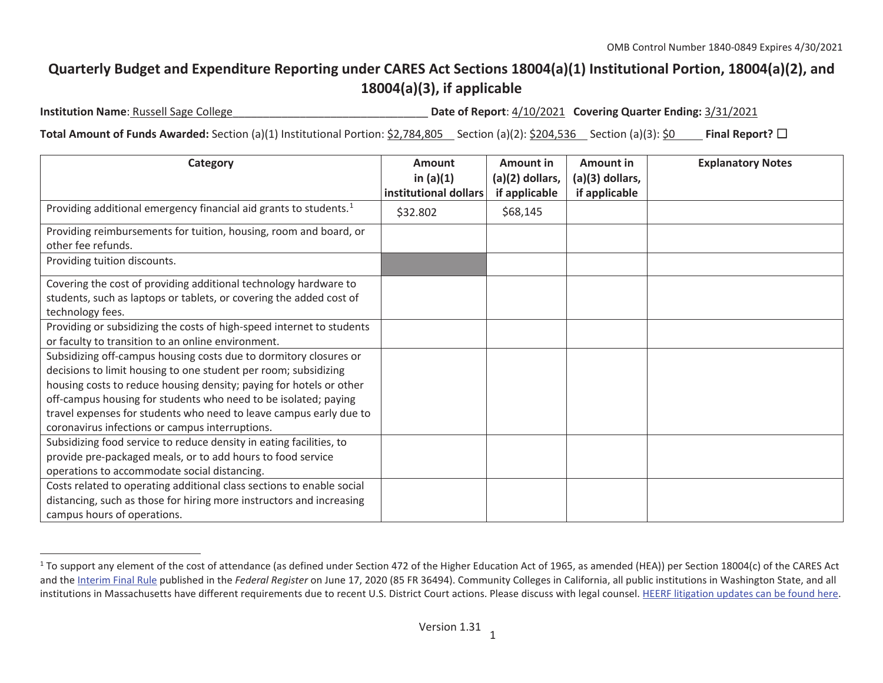## **Quarterly Budget and Expenditure Reporting under CARES Act Sections 18004(a)(1) Institutional Portion, 18004(a)(2), and 18004(a)(3), if applicable**

**Institution Name**: Russell Sage College\_\_\_\_\_\_\_\_\_\_\_\_\_\_\_\_\_\_\_\_\_\_\_\_\_\_\_\_\_\_\_\_ **Date of Report**: 4/10/2021 **Covering Quarter Ending:** 3/31/2021

**Total Amount of Funds Awarded:** Section (a)(1) Institutional Portion: \$2,784,805 Section (a)(2): \$204,536 Section (a)(3): \$0 Final Report? □

| Category                                                                                                                                                                                                                                                                                                                                                                                                | <b>Amount</b><br>in $(a)(1)$<br>institutional dollars | Amount in<br>$(a)(2)$ dollars,<br>if applicable | Amount in<br>$(a)(3)$ dollars,<br>if applicable | <b>Explanatory Notes</b> |
|---------------------------------------------------------------------------------------------------------------------------------------------------------------------------------------------------------------------------------------------------------------------------------------------------------------------------------------------------------------------------------------------------------|-------------------------------------------------------|-------------------------------------------------|-------------------------------------------------|--------------------------|
| Providing additional emergency financial aid grants to students. <sup>1</sup>                                                                                                                                                                                                                                                                                                                           | \$32.802                                              | \$68,145                                        |                                                 |                          |
| Providing reimbursements for tuition, housing, room and board, or<br>other fee refunds.                                                                                                                                                                                                                                                                                                                 |                                                       |                                                 |                                                 |                          |
| Providing tuition discounts.                                                                                                                                                                                                                                                                                                                                                                            |                                                       |                                                 |                                                 |                          |
| Covering the cost of providing additional technology hardware to<br>students, such as laptops or tablets, or covering the added cost of<br>technology fees.                                                                                                                                                                                                                                             |                                                       |                                                 |                                                 |                          |
| Providing or subsidizing the costs of high-speed internet to students<br>or faculty to transition to an online environment.                                                                                                                                                                                                                                                                             |                                                       |                                                 |                                                 |                          |
| Subsidizing off-campus housing costs due to dormitory closures or<br>decisions to limit housing to one student per room; subsidizing<br>housing costs to reduce housing density; paying for hotels or other<br>off-campus housing for students who need to be isolated; paying<br>travel expenses for students who need to leave campus early due to<br>coronavirus infections or campus interruptions. |                                                       |                                                 |                                                 |                          |
| Subsidizing food service to reduce density in eating facilities, to<br>provide pre-packaged meals, or to add hours to food service<br>operations to accommodate social distancing.<br>Costs related to operating additional class sections to enable social<br>distancing, such as those for hiring more instructors and increasing                                                                     |                                                       |                                                 |                                                 |                          |
| campus hours of operations.                                                                                                                                                                                                                                                                                                                                                                             |                                                       |                                                 |                                                 |                          |

 $1$  To support any element of the cost of attendance (as defined under Section 472 of the Higher Education Act of 1965, as amended (HEA)) per Section 18004(c) of the CARES Act and the Interim Final Rule published in the *Federal Register* on June 17, 2020 (85 FR 36494). Community Colleges in California, all public institutions in Washington State, and all institutions in Massachusetts have different requirements due to recent U.S. District Court actions. Please discuss with legal counsel. HEERF litigation updates can be found here.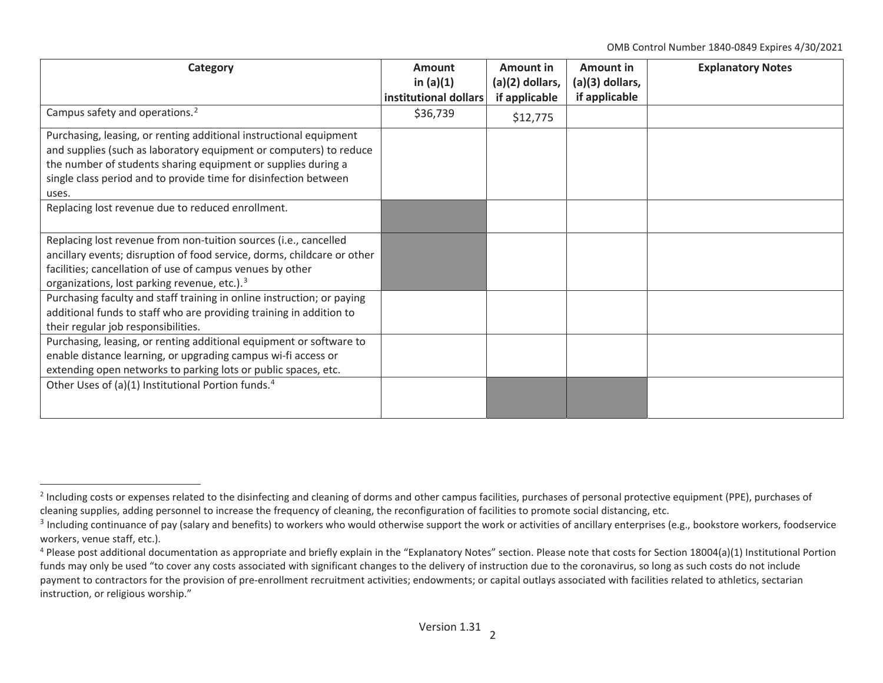OMB Control Number 1840-0849 Expires 4/30/2021

| Category                                                                | <b>Amount</b>         | <b>Amount in</b>  | Amount in       | <b>Explanatory Notes</b> |
|-------------------------------------------------------------------------|-----------------------|-------------------|-----------------|--------------------------|
|                                                                         | in $(a)(1)$           | $(a)(2)$ dollars, | (a)(3) dollars, |                          |
|                                                                         | institutional dollars | if applicable     | if applicable   |                          |
| Campus safety and operations. <sup>2</sup>                              | \$36,739              | \$12,775          |                 |                          |
| Purchasing, leasing, or renting additional instructional equipment      |                       |                   |                 |                          |
| and supplies (such as laboratory equipment or computers) to reduce      |                       |                   |                 |                          |
| the number of students sharing equipment or supplies during a           |                       |                   |                 |                          |
| single class period and to provide time for disinfection between        |                       |                   |                 |                          |
| uses.                                                                   |                       |                   |                 |                          |
| Replacing lost revenue due to reduced enrollment.                       |                       |                   |                 |                          |
| Replacing lost revenue from non-tuition sources (i.e., cancelled        |                       |                   |                 |                          |
| ancillary events; disruption of food service, dorms, childcare or other |                       |                   |                 |                          |
| facilities; cancellation of use of campus venues by other               |                       |                   |                 |                          |
| organizations, lost parking revenue, etc.). <sup>3</sup>                |                       |                   |                 |                          |
| Purchasing faculty and staff training in online instruction; or paying  |                       |                   |                 |                          |
| additional funds to staff who are providing training in addition to     |                       |                   |                 |                          |
| their regular job responsibilities.                                     |                       |                   |                 |                          |
| Purchasing, leasing, or renting additional equipment or software to     |                       |                   |                 |                          |
| enable distance learning, or upgrading campus wi-fi access or           |                       |                   |                 |                          |
| extending open networks to parking lots or public spaces, etc.          |                       |                   |                 |                          |
| Other Uses of (a)(1) Institutional Portion funds. <sup>4</sup>          |                       |                   |                 |                          |
|                                                                         |                       |                   |                 |                          |
|                                                                         |                       |                   |                 |                          |

<sup>&</sup>lt;sup>2</sup> Including costs or expenses related to the disinfecting and cleaning of dorms and other campus facilities, purchases of personal protective equipment (PPE), purchases of cleaning supplies, adding personnel to increase the frequency of cleaning, the reconfiguration of facilities to promote social distancing, etc.

<sup>&</sup>lt;sup>3</sup> Including continuance of pay (salary and benefits) to workers who would otherwise support the work or activities of ancillary enterprises (e.g., bookstore workers, foodservice workers, venue staff, etc.).

 $4$  Please post additional documentation as appropriate and briefly explain in the "Explanatory Notes" section. Please note that costs for Section 18004(a)(1) Institutional Portion funds may only be used "to cover any costs associated with significant changes to the delivery of instruction due to the coronavirus, so long as such costs do not include payment to contractors for the provision of pre-enrollment recruitment activities; endowments; or capital outlays associated with facilities related to athletics, sectarian instruction, or religious worship."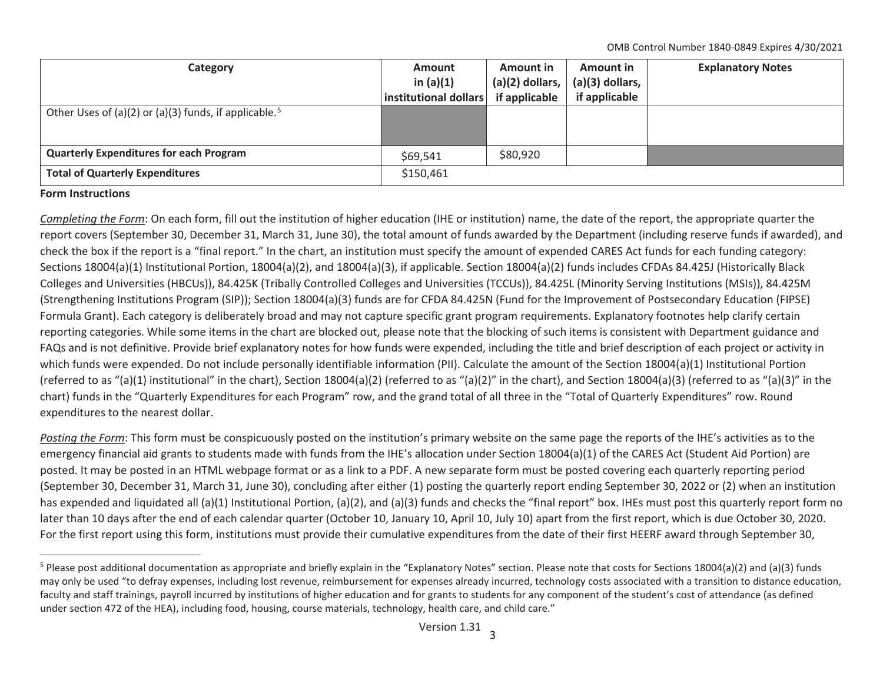OMB Control Number 1840-0849 Expires 4/30/2021

| Category                                                          | <b>Amount</b><br>in $(a)(1)$ | <b>Amount in</b><br>$(a)(2)$ dollars, | Amount in<br>$(a)(3)$ dollars, | <b>Explanatory Notes</b> |
|-------------------------------------------------------------------|------------------------------|---------------------------------------|--------------------------------|--------------------------|
|                                                                   | institutional dollars        | if applicable                         | if applicable                  |                          |
| Other Uses of (a)(2) or (a)(3) funds, if applicable. <sup>5</sup> |                              |                                       |                                |                          |
| <b>Quarterly Expenditures for each Program</b>                    | \$69,541                     | \$80,920                              |                                |                          |
| <b>Total of Quarterly Expenditures</b>                            | \$150,461                    |                                       |                                |                          |

## **Form Instructions**

*Completing the Form*: On each form, fill out the institution of higher education (IHE or institution) name, the date of the report, the appropriate quarter the report covers (September 30, December 31, March 31, June 30), the total amount of funds awarded by the Department (including reserve funds if awarded), and check the box if the report is a "final report." In the chart, an institution must specify the amount of expended CARES Act funds for each funding category: Sections 18004(a)(1) Institutional Portion, 18004(a)(2), and 18004(a)(3), if applicable. Section 18004(a)(2) funds includes CFDAs 84.425J (Historically Black Colleges and Universities (HBCUs)), 84.425K (Tribally Controlled Colleges and Universities (TCCUs)), 84.425L (Minority Serving Institutions (MSIs)), 84.425M (Strengthening Institutions Program (SIP)); Section 18004(a)(3) funds are for CFDA 84.425N (Fund for the Improvement of Postsecondary Education (FIPSE) Formula Grant). Each category is deliberately broad and may not capture specific grant program requirements. Explanatory footnotes help clarify certain reporting categories. While some items in the chart are blocked out, please note that the blocking of such items is consistent with Department guidance and FAQs and is not definitive. Provide brief explanatory notes for how funds were expended, including the title and brief description of each project or activity in which funds were expended. Do not include personally identifiable information (PII). Calculate the amount of the Section 18004(a)(1) Institutional Portion (referred to as "(a)(1) institutional" in the chart), Section 18004(a)(2) (referred to as "(a)(2)" in the chart), and Section 18004(a)(3) (referred to as "(a)(3)" in the chart) funds in the "Quarterly Expenditures for each Program" row, and the grand total of all three in the "Total of Quarterly Expenditures" row. Round expenditures to the nearest dollar.

*Posting the Form*: This form must be conspicuously posted on the institution's primary website on the same page the reports of the IHE's activities as to the emergency financial aid grants to students made with funds from the IHE's allocation under Section 18004(a)(1) of the CARES Act (Student Aid Portion) are posted. It may be posted in an HTML webpage format or as a link to a PDF. A new separate form must be posted covering each quarterly reporting period (September 30, December 31, March 31, June 30), concluding after either (1) posting the quarterly report ending September 30, 2022 or (2) when an institution has expended and liquidated all (a)(1) Institutional Portion, (a)(2), and (a)(3) funds and checks the "final report" box. IHEs must post this quarterly report form no later than 10 days after the end of each calendar quarter (October 10, January 10, April 10, July 10) apart from the first report, which is due October 30, 2020. For the first report using this form, institutions must provide their cumulative expenditures from the date of their first HEERF award through September 30,

<sup>&</sup>lt;sup>5</sup> Please post additional documentation as appropriate and briefly explain in the "Explanatory Notes" section. Please note that costs for Sections 18004(a)(2) and (a)(3) funds may only be used "to defray expenses, including lost revenue, reimbursement for expenses already incurred, technology costs associated with a transition to distance education, faculty and staff trainings, payroll incurred by institutions of higher education and for grants to students for any component of the student's cost of attendance (as defined under section 472 of the HEA), including food, housing, course materials, technology, health care, and child care."